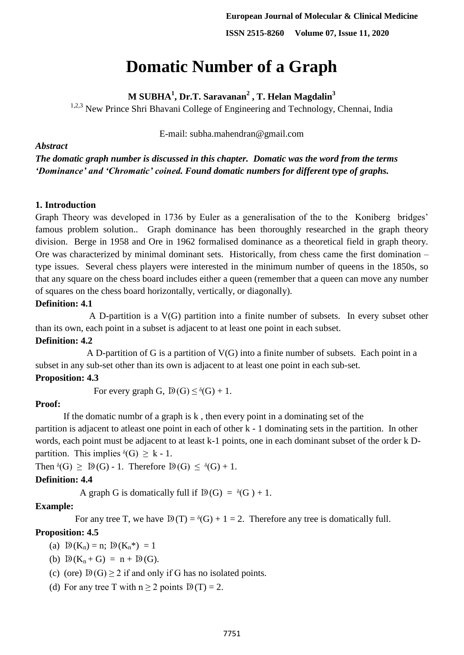# **Domatic Number of a Graph**

**M SUBHA<sup>1</sup> , Dr.T. Saravanan<sup>2</sup> , T. Helan Magdalin<sup>3</sup>**

 $1,2,3$  New Prince Shri Bhavani College of Engineering and Technology, Chennai, India

E-mail: subha.mahendran@gmail.com

*The domatic graph number is discussed in this chapter. Domatic was the word from the terms 'Dominance' and 'Chromatic' coined. Found domatic numbers for different type of graphs.*

# **1. Introduction**

*Abstract*

Graph Theory was developed in 1736 by Euler as a generalisation of the to the Koniberg bridges' famous problem solution.. Graph dominance has been thoroughly researched in the graph theory division. Berge in 1958 and Ore in 1962 formalised dominance as a theoretical field in graph theory. Ore was characterized by minimal dominant sets. Historically, from chess came the first domination – type issues. Several chess players were interested in the minimum number of queens in the 1850s, so that any square on the chess board includes either a queen (remember that a queen can move any number of squares on the chess board horizontally, vertically, or diagonally).

# **Definition: 4.1**

A D-partition is a V(G) partition into a finite number of subsets. In every subset other than its own, each point in a subset is adjacent to at least one point in each subset.

# **Definition: 4.2**

A D-partition of G is a partition of V(G) into a finite number of subsets. Each point in a subset in any sub-set other than its own is adjacent to at least one point in each sub-set.

# **Proposition: 4.3**

For every graph G,  $D(G) \leq \delta(G) + 1$ .

## **Proof:**

 If the domatic numbr of a graph is k , then every point in a dominating set of the partition is adjacent to atleast one point in each of other k - 1 dominating sets in the partition. In other words, each point must be adjacent to at least k-1 points, one in each dominant subset of the order k Dpartition. This implies  $\delta(G) \geq k - 1$ .

Then  $\delta(G) \geq D(G) - 1$ . Therefore  $D(G) \leq \delta(G) + 1$ .

# **Definition: 4.4**

A graph G is domatically full if  $D(G) = \delta(G) + 1$ .

# **Example:**

For any tree T, we have  $D(T) = \delta(G) + 1 = 2$ . Therefore any tree is domatically full.

# **Proposition: 4.5**

- (a)  $D(K_n) = n$ ;  $D(K_n^*) = 1$
- (b)  $D(K_n + G) = n + D(G)$ .
- (c) (ore)  $D(G) \ge 2$  if and only if G has no isolated points.
- (d) For any tree T with  $n > 2$  points  $D(T) = 2$ .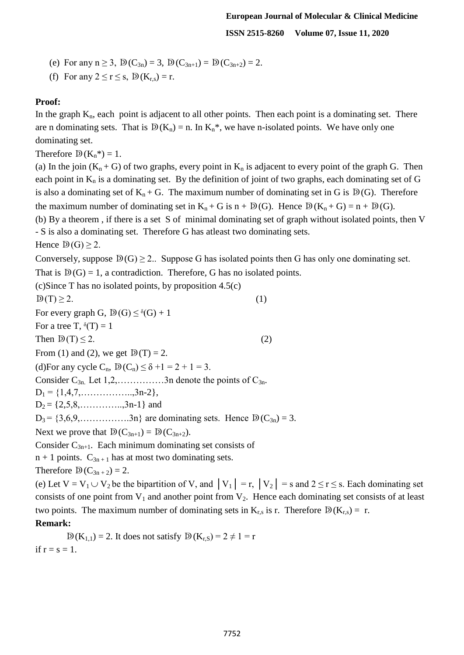- (e) For any  $n \ge 3$ ,  $D(C_{3n}) = 3$ ,  $D(C_{3n+1}) = D(C_{3n+2}) = 2$ .
- (f) For any  $2 \le r \le s$ ,  $D(K_{r,s}) = r$ .

# **Proof:**

In the graph  $K_n$ , each point is adjacent to all other points. Then each point is a dominating set. There are n dominating sets. That is  $D(K_n) = n$ . In  $K_n^*$ , we have n-isolated points. We have only one dominating set.

Therefore  $D(K_n^*)=1$ .

(a) In the join  $(K_n + G)$  of two graphs, every point in  $K_n$  is adjacent to every point of the graph G. Then each point in  $K_n$  is a dominating set. By the definition of joint of two graphs, each dominating set of G is also a dominating set of  $K_n + G$ . The maximum number of dominating set in G is  $D(G)$ . Therefore the maximum number of dominating set in  $K_n + G$  is  $n + D(G)$ . Hence  $D(K_n + G) = n + D(G)$ .

(b) By a theorem , if there is a set S of minimal dominating set of graph without isolated points, then V - S is also a dominating set. Therefore G has atleast two dominating sets.

Hence  $D(G) > 2$ .

Conversely, suppose  $D(G) \geq 2$ . Suppose G has isolated points then G has only one dominating set.

That is  $D(G) = 1$ , a contradiction. Therefore, G has no isolated points.

 $(c)$ Since T has no isolated points, by proposition 4.5 $(c)$ 

 $D(T) \geq 2.$  (1) For every graph G,  $D(G) \leq \delta(G) + 1$ For a tree T,  $\delta(T) = 1$ Then  $D(T) \leq 2$ . (2) From (1) and (2), we get  $D(T) = 2$ . (d)For any cycle  $C_n$ ,  $D(C_n) \leq \delta +1 = 2 + 1 = 3$ . Consider  $C_{3n}$ . Let  $1,2,...$  3n denote the points of  $C_{3n}$ .  $D_1 = \{1, 4, 7, \ldots, \ldots, 3n-2\},\$  $D_2 = \{2,5,8,\ldots,\ldots,3n-1\}$  and  $D_3 = \{3,6,9,\ldots,3n\}$  are dominating sets. Hence  $D(C_{3n}) = 3$ . Next we prove that  $D(C_{3n+1}) = D(C_{3n+2})$ . Consider  $C_{3n+1}$ . Each minimum dominating set consists of  $n + 1$  points.  $C_{3n+1}$  has at most two dominating sets.

Therefore  $D(C_{3n+2}) = 2$ .

(e) Let  $V = V_1 \cup V_2$  be the bipartition of V, and  $|V_1| = r$ ,  $|V_2| = s$  and  $2 \le r \le s$ . Each dominating set consists of one point from  $V_1$  and another point from  $V_2$ . Hence each dominating set consists of at least two points. The maximum number of dominating sets in  $K_{r,s}$  is r. Therefore  $D(K_{r,s}) = r$ . **Remark:** 

 $\mathbb{D}(K_{1,1}) = 2$ . It does not satisfy  $\mathbb{D}(K_{r,s}) = 2 \neq 1 = r$ if  $r = s = 1$ .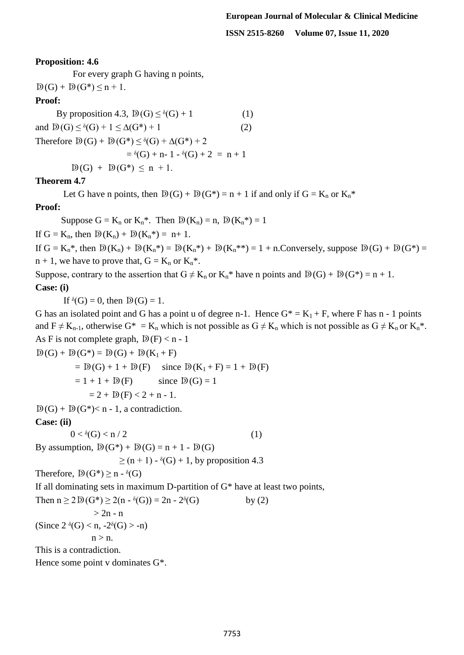**ISSN 2515-8260 Volume 07, Issue 11, 2020**

#### **Proposition: 4.6**

For every graph G having n points,

 $D(G) + D(G^*) \leq n + 1$ .

## **Proof:**

By proposition 4.3,  $\mathbb{D}(G) \leq \delta(G) + 1$  (1) and  $D(G) < \delta(G) + 1 < \Delta(G^*) + 1$  (2) Therefore  $D(G) + D(G^*) \leq \delta(G) + \Delta(G^*) + 2$  $=$   $\delta(G)$  + n- 1 -  $\delta(G)$  + 2 = n + 1  $D(G) + D(G^*) \leq n + 1$ .

### **Theorem 4.7**

Let G have n points, then  $D(G) + D(G^*) = n + 1$  if and only if  $G = K_n$  or  $K_n^*$ 

#### **Proof:**

Suppose  $G = K_n$  or  $K_n^*$ . Then  $D(K_n) = n$ ,  $D(K_n^*) = 1$ 

If  $G = K_n$ , then  $D(K_n) + D(K_n^*) = n+1$ .

If  $G = K_n^*$ , then  $D(K_n) + D(K_n^*) = D(K_n^*) + D(K_n^{**}) = 1 + n$ . Conversely, suppose  $D(G) + D(G^*) =$  $n + 1$ , we have to prove that,  $G = K_n$  or  $K_n^*$ .

Suppose, contrary to the assertion that  $G \neq K_n$  or  $K_n^*$  have n points and  $D(G) + D(G^*) = n + 1$ . **Case: (i)** 

If  $\delta(G) = 0$ , then  $D(G) = 1$ .

G has an isolated point and G has a point u of degree n-1. Hence  $G^* = K_1 + F$ , where F has n - 1 points and  $F \neq K_{n-1}$ , otherwise  $G^* = K_n$  which is not possible as  $G \neq K_n$  which is not possible as  $G \neq K_n$  or  $K_n^*$ . As F is not complete graph,  $D(F) < n - 1$ 

 $\mathbb{D}(G) + \mathbb{D}(G^*) = \mathbb{D}(G) + \mathbb{D}(K_1 + F)$  $= D(G) + 1 + D(F)$  since  $D(K_1 + F) = 1 + D(F)$  $= 1 + 1 + D(F)$  since  $D(G) = 1$  $= 2 + D(F) < 2 + n - 1.$ 

 $D(G) + D(G^*) < n - 1$ , a contradiction.

**Case: (ii)** 

 $0 < \delta(G) < n / 2$  (1)

By assumption,  $D(G^*) + D(G) = n + 1 - D(G)$ 

 $\geq$  (n + 1) -  $\delta$ (G) + 1, by proposition 4.3

```
Therefore, D(G^*) \geq n - \delta(G)
```
If all dominating sets in maximum D-partition of  $G^*$  have at least two points,

Then  $n \ge 2D(G^*) \ge 2(n - \delta(G)) = 2n - 2\delta(G)$  by (2)  $> 2n - n$ (Since  $2 \delta(G) < n$ ,  $-2\delta(G) > -n$ )  $n > n$ . This is a contradiction. Hence some point v dominates G\*.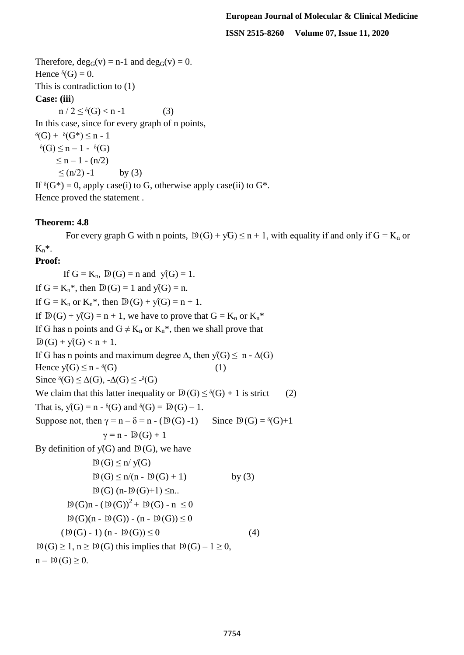**ISSN 2515-8260 Volume 07, Issue 11, 2020**

Therefore,  $deg_G(v) = n-1$  and  $deg_G(v) = 0$ . Hence  $\delta(G) = 0$ . This is contradiction to (1)

## **Case: (iii**)

 $n / 2 \leq \delta(G) < n - 1$  (3)

In this case, since for every graph of n points,

 $\delta(G) + \delta(G^*) \leq n - 1$  $\delta(G) \leq n - 1 - \delta(G)$  $\leq n - 1 - (n/2)$  $\leq (n/2) -1$  by (3) If  $\delta(G^*) = 0$ , apply case(i) to G, otherwise apply case(ii) to  $G^*$ .

Hence proved the statement .

# **Theorem: 4.8**

For every graph G with n points,  $D(G) + yG \le n + 1$ , with equality if and only if  $G = K_n$  or  $K_n^*$ .

## **Proof:**

If  $G = K_n$ ,  $D(G) = n$  and  $\sqrt{G} = 1$ . If  $G = K_n^*$ , then  $D(G) = 1$  and  $\sqrt{(G)} = n$ . If  $G = K_n$  or  $K_n^*$ , then  $D(G) + \sqrt{G} = n + 1$ . If  $D(G) + \sqrt{G} = n + 1$ , we have to prove that  $G = K_n$  or  $K_n^*$ If G has n points and  $G \neq K_n$  or  $K_n^*$ , then we shall prove that  $D(G) + V(G) < n + 1$ . If G has n points and maximum degree  $\Delta$ , then  $\mathcal{Y}(G) \leq n - \Delta(G)$ Hence  $\sqrt{(G)} \leq n - \delta(G)$  (1) Since  $\delta(G) \leq \Delta(G)$ ,  $-\Delta(G) \leq -\delta(G)$ We claim that this latter inequality or  $D(G) \leq \delta(G) + 1$  is strict (2) That is,  $\sqrt{(G)} = n - \delta(G)$  and  $\delta(G) = D(G) - 1$ . Suppose not, then  $\gamma = n - \delta = n - (D(G) - 1)$  Since  $D(G) = \delta(G) + 1$  $\gamma = n - D(G) + 1$ By definition of  $\sqrt{G}$  and  $\overline{D}(G)$ , we have  $D(G) \leq n / y(G)$  $D(G) \le n/(n - D(G) + 1)$  by (3)  $D(G)$  (n- $D(G)+1$ )  $\leq n$ ..  $D(G)n - (D(G))^2 + D(G) - n \leq 0$  $D(G)(n - D(G)) - (n - D(G)) \leq 0$  $(D(G) - 1)(n - D(G)) \le 0$  (4)  $D(G) \ge 1$ ,  $n \ge D(G)$  this implies that  $D(G) - 1 \ge 0$ ,  $n - D(G) > 0$ .